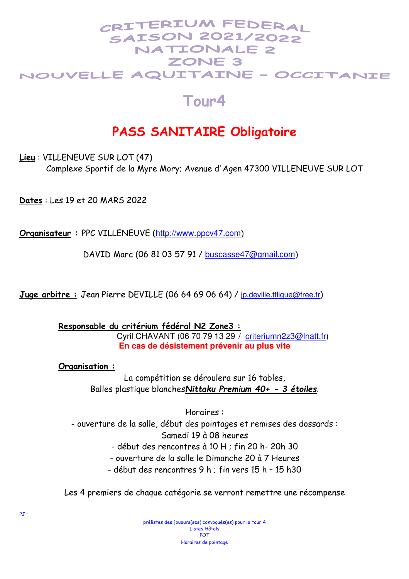#### CRITERIUM FEDERAI **SAISON 2021/2022 NATIONALE 2** ZONE<sub>3</sub> NOUVELLE AQUITAINE - OCCITANIE

### **Tour4**

## **PASS SANITAIRE Obligatoire**

**Lieu** : VILLENEUVE SUR LOT (47)

Complexe Sportif de la Myre Mory; Avenue d'Agen 47300 VILLENEUVE SUR LOT

**Dates** : Les 19 et 20 MARS 2022

**Organisateur :** PPC VILLENEUVE (http://www.ppcv47.com)

DAVID Marc (06 81 03 57 91 / buscasse47@gmail.com)

**Juge arbitre :** Jean Pierre DEVILLE (06 64 69 06 64) / jp.deville.ttligue@free.fr)

**Responsable du critérium fédéral N2 Zone3 :** Cyril CHAVANT (06 70 79 13 29 / criteriumn2z3@lnatt.fr) **En cas de désistement prévenir au plus vite** 

**Organisation :**

La compétition se déroulera sur 16 tables, Balles plastique blanches*Nittaku Premium 40+ - 3 étoiles*.

Horaires : - ouverture de la salle, début des pointages et remises des dossards : Samedi 19 à 08 heures - début des rencontres à 10 H ; fin 20 h- 20h 30

- ouverture de la salle le Dimanche 20 à 7 Heures

- début des rencontres 9 h ; fin vers 15 h – 15 h30

Les 4 premiers de chaque catégorie se verront remettre une récompense

prélistes des joueurs(ses) convoqués(es) pour le tour 4 Listes Hôtels POT Horaires de pointage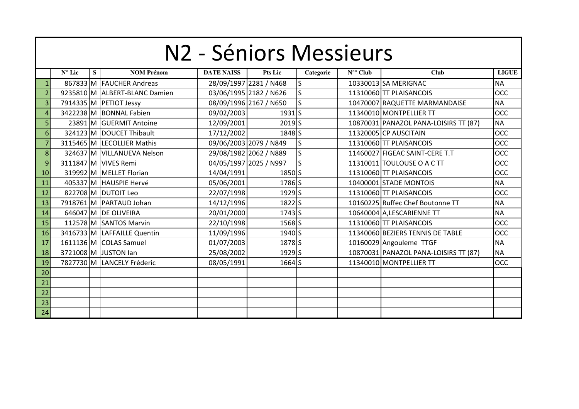|                | N2 - Séniors Messieurs |   |                               |                   |                        |           |                  |                                       |              |  |  |  |  |  |
|----------------|------------------------|---|-------------------------------|-------------------|------------------------|-----------|------------------|---------------------------------------|--------------|--|--|--|--|--|
|                | $N^{\circ}$ Lic        | S | <b>NOM Prénom</b>             | <b>DATE NAISS</b> | <b>Pts Lic</b>         | Categorie | $N^{\circ}$ Club | <b>Club</b>                           | <b>LIGUE</b> |  |  |  |  |  |
|                |                        |   | 867833 M FAUCHER Andreas      |                   | 28/09/1997 2281 / N468 | S         |                  | 10330013 SA MERIGNAC                  | <b>NA</b>    |  |  |  |  |  |
| $\overline{2}$ |                        |   | 9235810 M ALBERT-BLANC Damien |                   | 03/06/1995 2182 / N626 | S         |                  | 11310060 TT PLAISANCOIS               | <b>OCC</b>   |  |  |  |  |  |
| 3              |                        |   | 7914335 M PETIOT Jessy        |                   | 08/09/1996 2167 / N650 | S         |                  | 10470007 RAQUETTE MARMANDAISE         | <b>NA</b>    |  |  |  |  |  |
| Δ              |                        |   | 3422238 M BONNAL Fabien       | 09/02/2003        | 1931 <sub>s</sub>      |           |                  | 11340010 MONTPELLIER TT               | OCC          |  |  |  |  |  |
| 5              |                        |   | 23891 M GUERMIT Antoine       | 12/09/2001        | 2019 <sub>S</sub>      |           |                  | 10870031 PANAZOL PANA-LOISIRS TT (87) | <b>NA</b>    |  |  |  |  |  |
| 6              |                        |   | 324123 M DOUCET Thibault      | 17/12/2002        | 1848 S                 |           |                  | 11320005 CP AUSCITAIN                 | OCC          |  |  |  |  |  |
| 7              |                        |   | 3115465 M LECOLLIER Mathis    |                   | 09/06/2003 2079 / N849 | S         |                  | 11310060 TT PLAISANCOIS               | <b>OCC</b>   |  |  |  |  |  |
| 8              |                        |   | 324637 M VILLANUEVA Nelson    |                   | 29/08/1982 2062 / N889 | S         |                  | 11460027 FIGEAC SAINT-CERE T.T        | <b>OCC</b>   |  |  |  |  |  |
| 9              |                        |   | 3111847 M VIVES Remi          |                   | 04/05/1997 2025 / N997 | S         |                  | 11310011 TOULOUSE O A C TT            | OCC          |  |  |  |  |  |
| 10             |                        |   | 319992 M MELLET Florian       | 14/04/1991        | 1850 S                 |           |                  | 11310060 TT PLAISANCOIS               | <b>OCC</b>   |  |  |  |  |  |
| 11             |                        |   | 405337 M HAUSPIE Hervé        | 05/06/2001        | 1786 S                 |           |                  | 10400001 STADE MONTOIS                | <b>NA</b>    |  |  |  |  |  |
| 12             |                        |   | 822708 M DUTOIT Leo           | 22/07/1998        | 1929 <sub>S</sub>      |           |                  | 11310060 TT PLAISANCOIS               | <b>OCC</b>   |  |  |  |  |  |
| 13             |                        |   | 7918761 M PARTAUD Johan       | 14/12/1996        | 1822 S                 |           |                  | 10160225 Ruffec Chef Boutonne TT      | <b>NA</b>    |  |  |  |  |  |
| 14             |                        |   | 646047 M DE OLIVEIRA          | 20/01/2000        | $1743$ S               |           |                  | 10640004 A, LESCARIENNE TT            | <b>NA</b>    |  |  |  |  |  |
| 15             |                        |   | 112578 M SANTOS Marvin        | 22/10/1998        | 1568 <sub>S</sub>      |           |                  | 11310060 TT PLAISANCOIS               | <b>OCC</b>   |  |  |  |  |  |
| 16             |                        |   | 3416733 M LAFFAILLE Quentin   | 11/09/1996        | 1940 S                 |           |                  | 11340060 BEZIERS TENNIS DE TABLE      | OCC          |  |  |  |  |  |
| 17             |                        |   | 1611136 M COLAS Samuel        | 01/07/2003        | 1878 <sub>S</sub>      |           |                  | 10160029 Angouleme TTGF               | <b>NA</b>    |  |  |  |  |  |
| 18             |                        |   | 3721008 M JUSTON Ian          | 25/08/2002        | 1929 <sub>S</sub>      |           |                  | 10870031 PANAZOL PANA-LOISIRS TT (87) | <b>NA</b>    |  |  |  |  |  |
| 19             |                        |   | 7827730 M LANCELY Fréderic    | 08/05/1991        | 1664 S                 |           |                  | 11340010 MONTPELLIER TT               | <b>OCC</b>   |  |  |  |  |  |
| 20             |                        |   |                               |                   |                        |           |                  |                                       |              |  |  |  |  |  |
| 21             |                        |   |                               |                   |                        |           |                  |                                       |              |  |  |  |  |  |
| 22             |                        |   |                               |                   |                        |           |                  |                                       |              |  |  |  |  |  |
| 23             |                        |   |                               |                   |                        |           |                  |                                       |              |  |  |  |  |  |
| 24             |                        |   |                               |                   |                        |           |                  |                                       |              |  |  |  |  |  |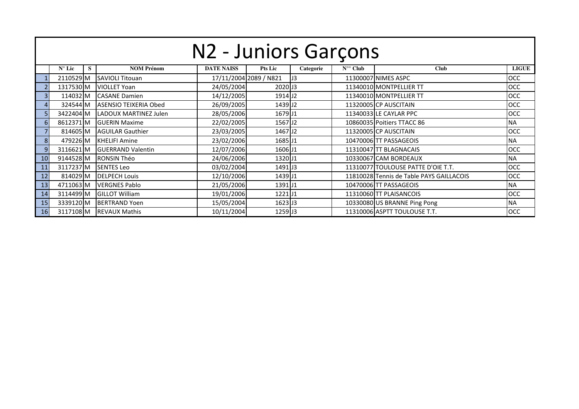|    | N2 - Juniors Garçons |   |                              |                   |                        |           |                  |                                          |              |  |  |  |  |  |  |
|----|----------------------|---|------------------------------|-------------------|------------------------|-----------|------------------|------------------------------------------|--------------|--|--|--|--|--|--|
|    | $N^{\circ}$ Lic      | S | <b>NOM Prénom</b>            | <b>DATE NAISS</b> | <b>Pts Lic</b>         | Categorie | $N^{\circ}$ Club | Club                                     | <b>LIGUE</b> |  |  |  |  |  |  |
|    | 2110529M             |   | <b>SAVIOLI Titouan</b>       |                   | 17/11/2004 2089 / N821 | J3        |                  | 11300007 NIMES ASPC                      | <b>OCC</b>   |  |  |  |  |  |  |
|    | 1317530 M            |   | <b>VIOLLET Yoan</b>          | 24/05/2004        | 2020 J3                |           |                  | 11340010 MONTPELLIER TT                  | <b>OCC</b>   |  |  |  |  |  |  |
| 3  | 114032M              |   | <b>CASANE Damien</b>         | 14/12/2005        | 1914 J <sub>2</sub>    |           |                  | 11340010 MONTPELLIER TT                  | <b>OCC</b>   |  |  |  |  |  |  |
| 4  | 324544 M             |   | <b>ASENSIO TEIXERIA Obed</b> | 26/09/2005        | 1439J2                 |           |                  | 11320005 CP AUSCITAIN                    | <b>OCC</b>   |  |  |  |  |  |  |
| 5  | 3422404 M            |   | LADOUX MARTINEZ Julen        | 28/05/2006        | 1679J1                 |           |                  | 11340033 LE CAYLAR PPC                   | <b>OCC</b>   |  |  |  |  |  |  |
| 6  | 8612371 M            |   | <b>GUERIN Maxime</b>         | 22/02/2005        | 1567 <sub>J2</sub>     |           |                  | 10860035 Poitiers TTACC 86               | <b>NA</b>    |  |  |  |  |  |  |
|    | 814605 M             |   | <b>AGUILAR Gauthier</b>      | 23/03/2005        | 1467 <sub>J2</sub>     |           |                  | 11320005 CP AUSCITAIN                    | <b>OCC</b>   |  |  |  |  |  |  |
| 8  | 479226 M             |   | <b>KHELIFI Amine</b>         | 23/02/2006        | 1685J1                 |           |                  | 10470006 TT PASSAGEOIS                   | <b>NA</b>    |  |  |  |  |  |  |
| 9  | 3116621 M            |   | <b>GUERRAND Valentin</b>     | 12/07/2006        | 1606J1                 |           |                  | 11310047 TT BLAGNACAIS                   | <b>OCC</b>   |  |  |  |  |  |  |
| 10 | 9144528 M            |   | <b>RONSIN Théo</b>           | 24/06/2006        | 1320 J1                |           |                  | 10330067 CAM BORDEAUX                    | <b>NA</b>    |  |  |  |  |  |  |
| 11 | 3117237 M            |   | <b>SENTES Leo</b>            | 03/02/2004        | 1491 <sup>J3</sup>     |           |                  | 11310077 TOULOUSE PATTE D'OIE T.T.       | <b>OCC</b>   |  |  |  |  |  |  |
| 12 | 814029 M             |   | <b>DELPECH Louis</b>         | 12/10/2006        | 1439J1                 |           |                  | 11810028 Tennis de Table PAYS GAILLACOIS | <b>OCC</b>   |  |  |  |  |  |  |
| 13 | 4711063 M            |   | <b>VERGNES Pablo</b>         | 21/05/2006        | 1391J1                 |           |                  | 10470006 TT PASSAGEOIS                   | <b>NA</b>    |  |  |  |  |  |  |
| 14 | 3114499 M            |   | <b>GILLOT William</b>        | 19/01/2006        | $1221$ J1              |           |                  | 11310060 TT PLAISANCOIS                  | <b>OCC</b>   |  |  |  |  |  |  |
| 15 | 3339120M             |   | <b>BERTRAND Yoen</b>         | 15/05/2004        | 1623 J3                |           |                  | 10330080 US BRANNE Ping Pong             | <b>NA</b>    |  |  |  |  |  |  |
| 16 | 3117108M             |   | <b>IREVAUX Mathis</b>        | 10/11/2004        | 1259 J3                |           |                  | 11310006 ASPTT TOULOUSE T.T.             | <b>OCC</b>   |  |  |  |  |  |  |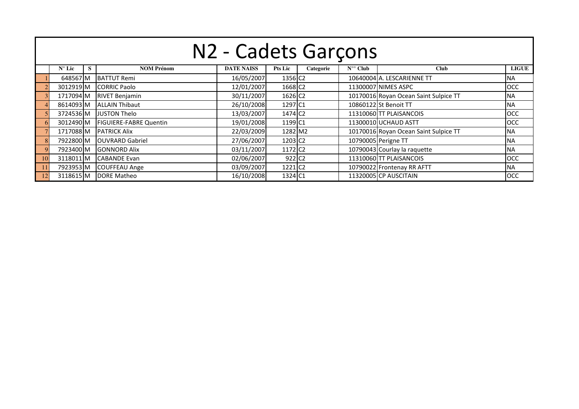|               | N2 - Cadets Garçons |   |                               |                   |                      |           |                  |                                       |              |  |  |  |  |  |  |
|---------------|---------------------|---|-------------------------------|-------------------|----------------------|-----------|------------------|---------------------------------------|--------------|--|--|--|--|--|--|
|               | $N^{\circ}$ Lic     | S | <b>NOM Prénom</b>             | <b>DATE NAISS</b> | <b>Pts Lic</b>       | Categorie | $N^{\circ}$ Club | <b>Club</b>                           | <b>LIGUE</b> |  |  |  |  |  |  |
|               | 648567 M            |   | <b>BATTUT Remi</b>            | 16/05/2007        | 1356 C <sub>2</sub>  |           |                  | 10640004 A. LESCARIENNE TT            | INA.         |  |  |  |  |  |  |
|               | 3012919 M           |   | <b>CORRIC Paolo</b>           | 12/01/2007        | 1668 C <sub>2</sub>  |           |                  | 11300007 NIMES ASPC                   | <b>OCC</b>   |  |  |  |  |  |  |
|               | 1717094 M           |   | <b>RIVET Benjamin</b>         | 30/11/2007        | 1626 C <sub>2</sub>  |           |                  | 10170016 Royan Ocean Saint Sulpice TT | <b>NA</b>    |  |  |  |  |  |  |
|               | 8614093 M           |   | <b>ALLAIN Thibaut</b>         | 26/10/2008        | 1297 C1              |           |                  | 10860122 St Benoit TT                 | <b>NA</b>    |  |  |  |  |  |  |
|               | 3724536 M           |   | <b>JUSTON Thelo</b>           | 13/03/2007        | 1474 C <sub>2</sub>  |           |                  | 11310060 TT PLAISANCOIS               | <b>OCC</b>   |  |  |  |  |  |  |
|               | 3012490 M           |   | <b>FIGUIERE-FABRE Quentin</b> | 19/01/2008        | 1199 C1              |           |                  | 11300010 UCHAUD ASTT                  | <b>OCC</b>   |  |  |  |  |  |  |
|               | 1717088M            |   | <b>PATRICK Alix</b>           | 22/03/2009        | 1282 M2              |           |                  | 10170016 Royan Ocean Saint Sulpice TT | <b>NA</b>    |  |  |  |  |  |  |
|               | 7922800 M           |   | <b>OUVRARD Gabriel</b>        | 27/06/2007        | 1203 C <sub>2</sub>  |           |                  | 10790005 Perigne TT                   | <b>NA</b>    |  |  |  |  |  |  |
|               | 7923400 M           |   | <b>GONNORD Alix</b>           | 03/11/2007        | 1172 C <sub>2</sub>  |           |                  | 10790043 Courlay la raquette          | <b>NA</b>    |  |  |  |  |  |  |
| <sup>10</sup> | 3118011 M           |   | <b>CABANDE Evan</b>           | 02/06/2007        | $922$ C <sub>2</sub> |           |                  | 11310060 TT PLAISANCOIS               | <b>OCC</b>   |  |  |  |  |  |  |
| -11           | 7923953 M           |   | <b>COUFFEAU Ange</b>          | 03/09/2007        | 1221 C <sub>2</sub>  |           |                  | 10790022 Frontenay RR AFTT            | INA.         |  |  |  |  |  |  |
|               | 3118615 M           |   | DORE Matheo                   | 16/10/2008        | 1324 C1              |           |                  | 11320005 CP AUSCITAIN                 | OCC          |  |  |  |  |  |  |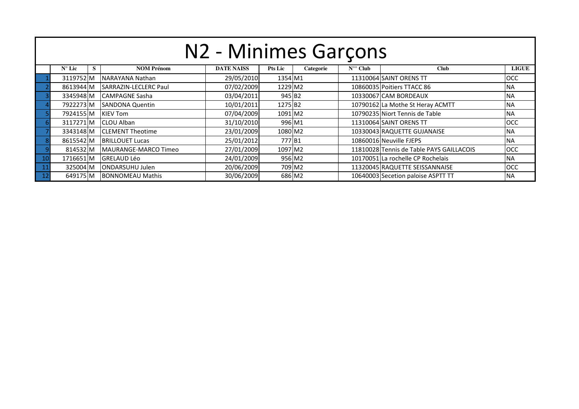|     | N2 - Minimes Garçons                                                                                                                        |  |                         |            |         |        |  |                                          |            |  |  |  |  |  |  |
|-----|---------------------------------------------------------------------------------------------------------------------------------------------|--|-------------------------|------------|---------|--------|--|------------------------------------------|------------|--|--|--|--|--|--|
|     | <b>NOM Prénom</b><br><b>DATE NAISS</b><br>$N^{\circ}$ Club<br><b>LIGUE</b><br>$N^{\circ}$ Lic<br><b>Pts Lic</b><br>Categorie<br><b>Club</b> |  |                         |            |         |        |  |                                          |            |  |  |  |  |  |  |
|     | 3119752 M                                                                                                                                   |  | <b>NARAYANA Nathan</b>  | 29/05/2010 | 1354 M1 |        |  | 11310064 SAINT ORENS TT                  | <b>OCC</b> |  |  |  |  |  |  |
|     | 8613944 M                                                                                                                                   |  | SARRAZIN-LECLERC Paul   | 07/02/2009 | 1229 M2 |        |  | 10860035 Poitiers TTACC 86               | <b>NA</b>  |  |  |  |  |  |  |
|     | 3345948 M                                                                                                                                   |  | <b>CAMPAGNE Sasha</b>   | 03/04/2011 | 945 B2  |        |  | 10330067 CAM BORDEAUX                    | <b>NA</b>  |  |  |  |  |  |  |
|     | 7922273 M                                                                                                                                   |  | <b>ISANDONA Quentin</b> | 10/01/2011 | 1275 B2 |        |  | 10790162 La Mothe St Heray ACMTT         | <b>NA</b>  |  |  |  |  |  |  |
|     | 7924155 M                                                                                                                                   |  | <b>KIEV Tom</b>         | 07/04/2009 | 1091 M2 |        |  | 10790235 Niort Tennis de Table           | <b>NA</b>  |  |  |  |  |  |  |
|     | 3117271M                                                                                                                                    |  | <b>CLOU Alban</b>       | 31/10/2010 | 996 M1  |        |  | 11310064 SAINT ORENS TT                  | <b>OCC</b> |  |  |  |  |  |  |
|     | 3343148 M                                                                                                                                   |  | <b>CLEMENT Theotime</b> | 23/01/2009 | 1080 M2 |        |  | 10330043 RAQUETTE GUJANAISE              | <b>NA</b>  |  |  |  |  |  |  |
|     | 8615542 M                                                                                                                                   |  | <b>BRILLOUET Lucas</b>  | 25/01/2012 | 777 B1  |        |  | 10860016 Neuville FJEPS                  | <b>NA</b>  |  |  |  |  |  |  |
|     | 814532 M                                                                                                                                    |  | MAURANGE-MARCO Timeo    | 27/01/2009 | 1097 M2 |        |  | 11810028 Tennis de Table PAYS GAILLACOIS | <b>OCC</b> |  |  |  |  |  |  |
| -10 | 1716651M                                                                                                                                    |  | <b>GRELAUD Léo</b>      | 24/01/2009 |         | 956 M2 |  | 10170051 La rochelle CP Rochelais        | <b>NA</b>  |  |  |  |  |  |  |
|     | 20/06/2009<br><b>OCC</b><br><b>ONDARSUHU Julen</b><br>709 M2<br>11320045 RAQUETTE SEISSANNAISE<br>325004 M                                  |  |                         |            |         |        |  |                                          |            |  |  |  |  |  |  |
|     | 30/06/2009<br>686 M2<br>10640003 Secetion paloise ASPTT TT<br><b>BONNOMEAU Mathis</b><br>649175 M<br><b>NA</b>                              |  |                         |            |         |        |  |                                          |            |  |  |  |  |  |  |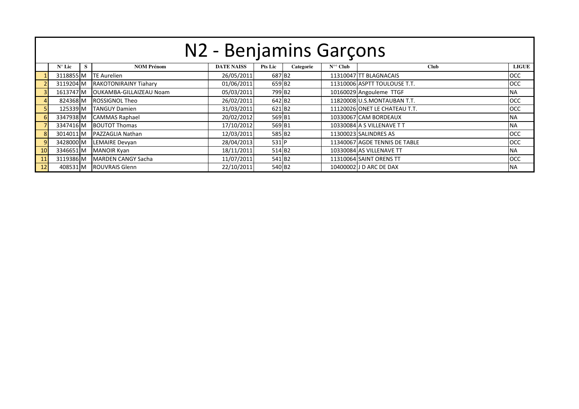|    | N2 - Benjamins Garçons |                                                                                                                        |                              |            |                    |  |  |                               |            |  |  |  |  |  |  |
|----|------------------------|------------------------------------------------------------------------------------------------------------------------|------------------------------|------------|--------------------|--|--|-------------------------------|------------|--|--|--|--|--|--|
|    | $N^{\circ}$ Lic        | <b>DATE NAISS</b><br>$N^{\circ}$ Club<br><b>NOM Prénom</b><br>Pts Lic<br><b>LIGUE</b><br>Categorie<br><b>Club</b><br>s |                              |            |                    |  |  |                               |            |  |  |  |  |  |  |
|    | 3118855 M              |                                                                                                                        | <b>TE Aurelien</b>           | 26/05/2011 | 687 B2             |  |  | 11310047 TT BLAGNACAIS        | <b>OCC</b> |  |  |  |  |  |  |
|    | 3119204 M              |                                                                                                                        | <b>RAKOTONIRAINY Tiahary</b> | 01/06/2011 | 659 B2             |  |  | 11310006 ASPTT TOULOUSE T.T.  | <b>OCC</b> |  |  |  |  |  |  |
|    | 1613747 M              |                                                                                                                        | OUKAMBA-GILLAIZEAU Noam      | 05/03/2011 | 799 B <sub>2</sub> |  |  | 10160029 Angouleme TTGF       | <b>INA</b> |  |  |  |  |  |  |
|    | 824368 M               |                                                                                                                        | <b>ROSSIGNOL Theo</b>        | 26/02/2011 | 642 B <sub>2</sub> |  |  | 11820008 U.S.MONTAUBAN T.T.   | <b>OCC</b> |  |  |  |  |  |  |
|    | 125339 M               |                                                                                                                        | <b>TANGUY Damien</b>         | 31/03/2011 | 621 B <sub>2</sub> |  |  | 11120026 ONET LE CHATEAU T.T. | <b>OCC</b> |  |  |  |  |  |  |
| 6  | 3347938 M              |                                                                                                                        | <b>CAMMAS Raphael</b>        | 20/02/2012 | 569 B1             |  |  | 10330067 CAM BORDEAUX         | <b>INA</b> |  |  |  |  |  |  |
|    | 3347416 M              |                                                                                                                        | <b>BOUTOT Thomas</b>         | 17/10/2012 | 569 B1             |  |  | 10330084 A S VILLENAVE T T    | <b>INA</b> |  |  |  |  |  |  |
| 8  | 3014011 M              |                                                                                                                        | <b>PAZZAGLIA Nathan</b>      | 12/03/2011 | 585 B2             |  |  | 11300023 SALINDRES AS         | <b>OCC</b> |  |  |  |  |  |  |
| 9  | 3428000 M              |                                                                                                                        | LEMAIRE Devyan               | 28/04/2013 | 531 P              |  |  | 11340067 AGDE TENNIS DE TABLE | <b>OCC</b> |  |  |  |  |  |  |
| 10 | 3346651 M              |                                                                                                                        | <b>MANOIR Kyan</b>           | 18/11/2011 | 514 B <sub>2</sub> |  |  | 10330084 AS VILLENAVE TT      | <b>INA</b> |  |  |  |  |  |  |
| 11 | 3119386 M              |                                                                                                                        | MARDEN CANGY Sacha           | 11/07/2011 | 541 B <sub>2</sub> |  |  | 11310064 SAINT ORENS TT       | <b>OCC</b> |  |  |  |  |  |  |
| 12 | 408531 M               |                                                                                                                        | <b>ROUVRAIS Glenn</b>        | 22/10/2011 | 540 B <sub>2</sub> |  |  | 10400002 J D ARC DE DAX       | <b>NA</b>  |  |  |  |  |  |  |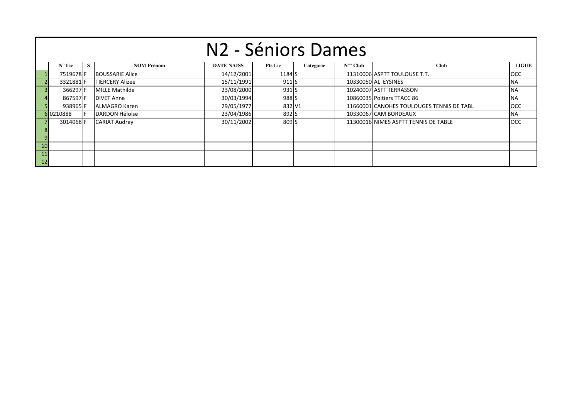|    | N <sub>2</sub> - Séniors Dames                                                                                                                   |  |                        |            |                  |  |  |                                           |            |  |  |  |  |  |  |
|----|--------------------------------------------------------------------------------------------------------------------------------------------------|--|------------------------|------------|------------------|--|--|-------------------------------------------|------------|--|--|--|--|--|--|
|    | <b>NOM Prénom</b><br>$N^{\circ}$ Lic<br><b>DATE NAISS</b><br>$N^{\circ}$ Club<br><b>Club</b><br><b>LIGUE</b><br><b>Pts Lic</b><br>S<br>Categorie |  |                        |            |                  |  |  |                                           |            |  |  |  |  |  |  |
|    | 7519678F                                                                                                                                         |  | <b>BOUSSARIE Alice</b> | 14/12/2001 | 1184 S           |  |  | 11310006 ASPTT TOULOUSE T.T.              | <b>OCC</b> |  |  |  |  |  |  |
|    | 3321881F                                                                                                                                         |  | <b>TIERCERY Alizee</b> | 15/11/1991 | 911              |  |  | 10330050 AL EYSINES                       | <b>NA</b>  |  |  |  |  |  |  |
|    | 366297 F                                                                                                                                         |  | <b>MILLE Mathilde</b>  | 23/08/2000 | 931 <sub>S</sub> |  |  | 10240007 ASTT TERRASSON                   | <b>NA</b>  |  |  |  |  |  |  |
|    | 867597F                                                                                                                                          |  | <b>DIVET Anne</b>      | 30/03/1994 | 988 <sub>S</sub> |  |  | 10860035 Poitiers TTACC 86                | <b>NA</b>  |  |  |  |  |  |  |
|    | 938965 F                                                                                                                                         |  | <b>ALMAGRO Karen</b>   | 29/05/1977 | 832 V1           |  |  | 11660001 CANOHES TOULOUGES TENNIS DE TABL | <b>OCC</b> |  |  |  |  |  |  |
|    | 6 0210888                                                                                                                                        |  | <b>DARDON Héloïse</b>  | 23/04/1986 | 892 <sub>S</sub> |  |  | 10330067 CAM BORDEAUX                     | <b>NA</b>  |  |  |  |  |  |  |
|    | 3014068 F                                                                                                                                        |  | <b>CARIAT Audrey</b>   | 30/11/2002 | 809 <sub>S</sub> |  |  | 11300016 NIMES ASPTT TENNIS DE TABLE      | <b>OCC</b> |  |  |  |  |  |  |
|    |                                                                                                                                                  |  |                        |            |                  |  |  |                                           |            |  |  |  |  |  |  |
|    |                                                                                                                                                  |  |                        |            |                  |  |  |                                           |            |  |  |  |  |  |  |
| 10 |                                                                                                                                                  |  |                        |            |                  |  |  |                                           |            |  |  |  |  |  |  |
|    |                                                                                                                                                  |  |                        |            |                  |  |  |                                           |            |  |  |  |  |  |  |
| 12 |                                                                                                                                                  |  |                        |            |                  |  |  |                                           |            |  |  |  |  |  |  |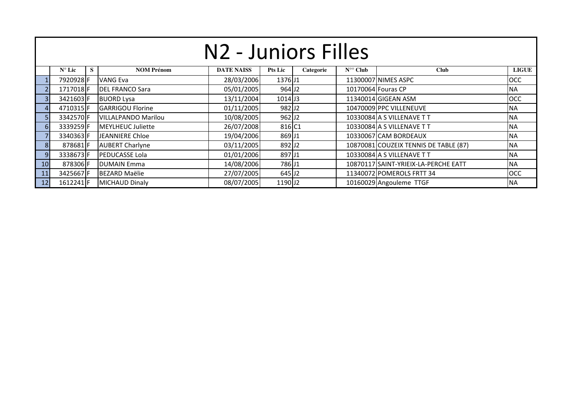|                | N <sub>2</sub> - Juniors Filles                                                                                                                  |  |                            |            |                     |  |  |                                       |            |  |  |  |  |  |  |
|----------------|--------------------------------------------------------------------------------------------------------------------------------------------------|--|----------------------------|------------|---------------------|--|--|---------------------------------------|------------|--|--|--|--|--|--|
|                | S<br><b>LIGUE</b><br>$N^{\circ}$ Lic<br><b>DATE NAISS</b><br>$N^{\circ}$ Club<br><b>Club</b><br><b>NOM Prénom</b><br><b>Pts Lic</b><br>Categorie |  |                            |            |                     |  |  |                                       |            |  |  |  |  |  |  |
|                | 7920928F                                                                                                                                         |  | <b>VANG Eva</b>            | 28/03/2006 | 1376J1              |  |  | 11300007 NIMES ASPC                   | <b>OCC</b> |  |  |  |  |  |  |
|                | 1717018F                                                                                                                                         |  | <b>DEL FRANCO Sara</b>     | 05/01/2005 | 964 J2              |  |  | 10170064 Fouras CP                    | <b>NA</b>  |  |  |  |  |  |  |
|                | 3421603 F                                                                                                                                        |  | <b>BUORD Lysa</b>          | 13/11/2004 | $1014$ J3           |  |  | 11340014 GIGEAN ASM                   | <b>OCC</b> |  |  |  |  |  |  |
|                | 4710315F                                                                                                                                         |  | <b>GARRIGOU Florine</b>    | 01/11/2005 | 982 J <sub>2</sub>  |  |  | 10470009 PPC VILLENEUVE               | <b>NA</b>  |  |  |  |  |  |  |
|                | 3342570F                                                                                                                                         |  | <b>VILLALPANDO Marilou</b> | 10/08/2005 | 962 J <sub>2</sub>  |  |  | 10330084 A S VILLENAVE T T            | <b>NA</b>  |  |  |  |  |  |  |
|                | 3339259 <b>F</b>                                                                                                                                 |  | MEYLHEUC Juliette          | 26/07/2008 | 816 C1              |  |  | 10330084 A S VILLENAVE T T            | <b>NA</b>  |  |  |  |  |  |  |
|                | 3340363 F                                                                                                                                        |  | JEANNIERE Chloe            | 19/04/2006 | 869 J1              |  |  | 10330067 CAM BORDEAUX                 | <b>NA</b>  |  |  |  |  |  |  |
| 8 <sup>l</sup> | 878681F                                                                                                                                          |  | <b>AUBERT Charlyne</b>     | 03/11/2005 | 892J2               |  |  | 10870081 COUZEIX TENNIS DE TABLE (87) | <b>NA</b>  |  |  |  |  |  |  |
| 9              | 3338673F                                                                                                                                         |  | <b>PEDUCASSE Lola</b>      | 01/01/2006 | 897 J1              |  |  | 10330084 A S VILLENAVE T T            | <b>NA</b>  |  |  |  |  |  |  |
| 10             | 878306 F                                                                                                                                         |  | <b>DUMAIN Emma</b>         | 14/08/2006 | 786J1               |  |  | 10870117 SAINT-YRIEIX-LA-PERCHE EATT  | <b>NA</b>  |  |  |  |  |  |  |
| 11             | 3425667 <b>F</b>                                                                                                                                 |  | <b>BEZARD Maëlie</b>       | 27/07/2005 | $645$ J2            |  |  | 11340072 POMEROLS FRTT 34             | <b>OCC</b> |  |  |  |  |  |  |
| 12             | 1612241F                                                                                                                                         |  | <b>MICHAUD Dinaly</b>      | 08/07/2005 | 1190 J <sub>2</sub> |  |  | 10160029 Angouleme TTGF               | <b>NA</b>  |  |  |  |  |  |  |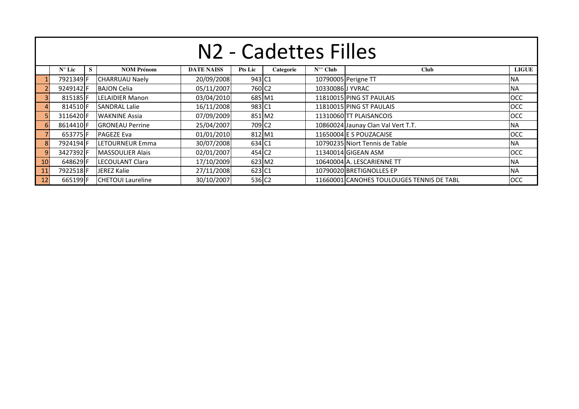|                 | N <sub>2</sub> - Cadettes Filles                                                                                                                      |  |                          |            |                    |  |                  |                                           |            |  |  |  |  |  |  |
|-----------------|-------------------------------------------------------------------------------------------------------------------------------------------------------|--|--------------------------|------------|--------------------|--|------------------|-------------------------------------------|------------|--|--|--|--|--|--|
|                 | <b>DATE NAISS</b><br><b>LIGUE</b><br>$N^{\circ}$ Lic<br>S<br><b>NOM Prénom</b><br>$N^{\circ\circ}$ Club<br><b>Club</b><br><b>Pts Lic</b><br>Categorie |  |                          |            |                    |  |                  |                                           |            |  |  |  |  |  |  |
|                 | 7921349 F                                                                                                                                             |  | <b>CHARRUAU Naely</b>    | 20/09/2008 | 943 C1             |  |                  | 10790005 Perigne TT                       | <b>NA</b>  |  |  |  |  |  |  |
|                 | 9249142F                                                                                                                                              |  | <b>BAJON Celia</b>       | 05/11/2007 | 760 C <sub>2</sub> |  | 10330086 J YVRAC |                                           | <b>NA</b>  |  |  |  |  |  |  |
|                 | 815185F                                                                                                                                               |  | <b>LELAIDIER Manon</b>   | 03/04/2010 | 685 M1             |  |                  | 11810015 PING ST PAULAIS                  | <b>OCC</b> |  |  |  |  |  |  |
|                 | 814510 <sub>F</sub>                                                                                                                                   |  | <b>SANDRAL Lalie</b>     | 16/11/2008 | 983 C1             |  |                  | 11810015 PING ST PAULAIS                  | <b>OCC</b> |  |  |  |  |  |  |
|                 | 3116420F                                                                                                                                              |  | <b>WAKNINE Assia</b>     | 07/09/2009 | 851 M2             |  |                  | 11310060 TT PLAISANCOIS                   | <b>OCC</b> |  |  |  |  |  |  |
| -6              | 8614410 F                                                                                                                                             |  | <b>IGRONEAU Perrine</b>  | 25/04/2007 | 709 C <sub>2</sub> |  |                  | 10860024 Jaunay Clan Val Vert T.T.        | <b>NA</b>  |  |  |  |  |  |  |
|                 | 653775F                                                                                                                                               |  | <b>PAGEZE Eva</b>        | 01/01/2010 | 812 M1             |  |                  | 11650004 E S POUZACAISE                   | <b>OCC</b> |  |  |  |  |  |  |
| 8               | 7924194F                                                                                                                                              |  | <b>LETOURNEUR Emma</b>   | 30/07/2008 | 634 C1             |  |                  | 10790235 Niort Tennis de Table            | <b>NA</b>  |  |  |  |  |  |  |
| 9               | 3427392F                                                                                                                                              |  | MASSOULIER Alais         | 02/01/2007 | 454 C <sub>2</sub> |  |                  | 11340014 GIGEAN ASM                       | <b>OCC</b> |  |  |  |  |  |  |
| 10 <sup>1</sup> | 648629F                                                                                                                                               |  | LECOULANT Clara          | 17/10/2009 | 623 M2             |  |                  | 10640004 A. LESCARIENNE TT                | <b>NA</b>  |  |  |  |  |  |  |
| <b>11</b>       | 27/11/2008<br>623 C1<br>10790020 BRETIGNOLLES EP<br>7922518F<br><b>JEREZ Kalie</b><br><b>NA</b>                                                       |  |                          |            |                    |  |                  |                                           |            |  |  |  |  |  |  |
| 12              | 665199 F                                                                                                                                              |  | <b>CHETOUI Laureline</b> | 30/10/2007 | 536 C <sub>2</sub> |  |                  | 11660001 CANOHES TOULOUGES TENNIS DE TABL | <b>OCC</b> |  |  |  |  |  |  |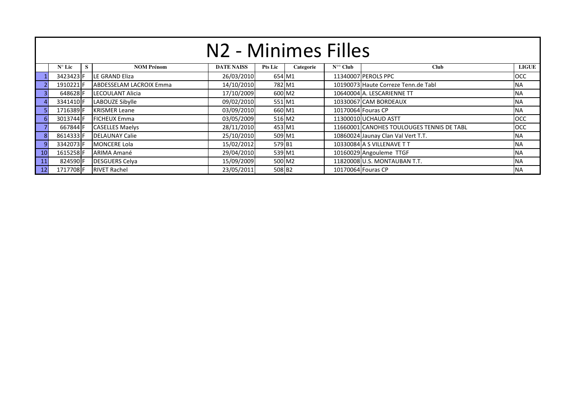|    | N <sub>2</sub> - Minimes Filles                                                                                                             |  |                                |            |        |        |  |                                           |            |  |  |  |  |  |  |
|----|---------------------------------------------------------------------------------------------------------------------------------------------|--|--------------------------------|------------|--------|--------|--|-------------------------------------------|------------|--|--|--|--|--|--|
|    | <b>LIGUE</b><br>$N^{\circ}$ Lic<br><b>DATE NAISS</b><br>$N^{\circ}$ Club<br><b>Club</b><br><b>NOM Prénom</b><br><b>Pts Lic</b><br>Categorie |  |                                |            |        |        |  |                                           |            |  |  |  |  |  |  |
|    | 3423423 F                                                                                                                                   |  | LE GRAND Eliza                 | 26/03/2010 | 654 M1 |        |  | 11340007 PEROLS PPC                       | <b>OCC</b> |  |  |  |  |  |  |
|    | 1910221 F                                                                                                                                   |  | <b>ABDESSELAM LACROIX Emma</b> | 14/10/2010 | 782 M1 |        |  | 10190073 Haute Correze Tenn.de Tabl       | <b>INA</b> |  |  |  |  |  |  |
|    | 648628 <b>IF</b>                                                                                                                            |  | LECOULANT Alicia               | 17/10/2009 | 600 M2 |        |  | 10640004 A. LESCARIENNE TT                | <b>NA</b>  |  |  |  |  |  |  |
|    | 3341410 <b>F</b>                                                                                                                            |  | LABOUZE Sibylle                | 09/02/2010 | 551 M1 |        |  | 10330067 CAM BORDEAUX                     | <b>INA</b> |  |  |  |  |  |  |
|    | 1716389 F                                                                                                                                   |  | <b>KRISMER Leane</b>           | 03/09/2010 | 660 M1 |        |  | 10170064 Fouras CP                        | <b>NA</b>  |  |  |  |  |  |  |
| 6  | 3013744 F                                                                                                                                   |  | <b>IFICHEUX Emma</b>           | 03/05/2009 | 516 M2 |        |  | 11300010 UCHAUD ASTT                      | <b>OCC</b> |  |  |  |  |  |  |
|    | 667844 F                                                                                                                                    |  | <b>CASELLES Maelys</b>         | 28/11/2010 | 453 M1 |        |  | 11660001 CANOHES TOULOUGES TENNIS DE TABL | <b>OCC</b> |  |  |  |  |  |  |
| 8  | 8614333 F                                                                                                                                   |  | <b>DELAUNAY Calie</b>          | 25/10/2010 | 509 M1 |        |  | 10860024 Jaunay Clan Val Vert T.T.        | <b>INA</b> |  |  |  |  |  |  |
| 9  | 3342073 <b>F</b>                                                                                                                            |  | <b>MONCERE Lola</b>            | 15/02/2012 | 579 B1 |        |  | 10330084 A S VILLENAVE T T                | <b>INA</b> |  |  |  |  |  |  |
| 10 | 1615258F                                                                                                                                    |  | ARIMA Amané                    | 29/04/2010 | 539 M1 |        |  | 10160029 Angouleme TTGF                   | <b>INA</b> |  |  |  |  |  |  |
| 11 | 824590F                                                                                                                                     |  | <b>DESGUERS Celva</b>          | 15/09/2009 |        | 500 M2 |  | 11820008 U.S. MONTAUBAN T.T.              | <b>INA</b> |  |  |  |  |  |  |
| 12 | 1717708F                                                                                                                                    |  | <b>RIVET Rachel</b>            | 23/05/2011 | 508 B2 |        |  | 10170064 Fouras CP                        | <b>INA</b> |  |  |  |  |  |  |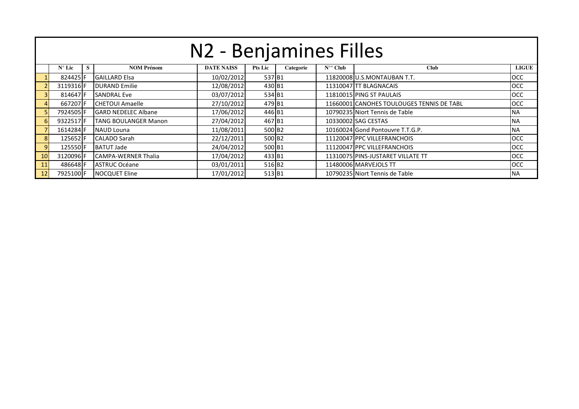|    | N2 - Benjamines Filles                                                                                                                     |  |                            |            |                    |  |  |                                           |            |  |  |  |  |  |  |
|----|--------------------------------------------------------------------------------------------------------------------------------------------|--|----------------------------|------------|--------------------|--|--|-------------------------------------------|------------|--|--|--|--|--|--|
|    | <b>NOM Prénom</b><br><b>DATE NAISS</b><br>$N^{\circ}$ Club<br><b>LIGUE</b><br>$N^{\circ}$ Lic<br>S.<br>Pts Lic<br><b>Club</b><br>Categorie |  |                            |            |                    |  |  |                                           |            |  |  |  |  |  |  |
|    | 824425 F                                                                                                                                   |  | <b>GAILLARD Elsa</b>       | 10/02/2012 | 537 B1             |  |  | 11820008 U.S.MONTAUBAN T.T.               | <b>OCC</b> |  |  |  |  |  |  |
|    | 3119316 F                                                                                                                                  |  | <b>DURAND Emilie</b>       | 12/08/2012 | 430 B1             |  |  | 11310047 TT BLAGNACAIS                    | <b>OCC</b> |  |  |  |  |  |  |
|    | 814647 F                                                                                                                                   |  | <b>SANDRAL Eve</b>         | 03/07/2012 | 534 B1             |  |  | 11810015 PING ST PAULAIS                  | <b>OCC</b> |  |  |  |  |  |  |
|    | 667207 F                                                                                                                                   |  | <b>ICHETOUI Amaelle</b>    | 27/10/2012 | 479 B1             |  |  | 11660001 CANOHES TOULOUGES TENNIS DE TABL | <b>OCC</b> |  |  |  |  |  |  |
|    | 7924505 <b>F</b>                                                                                                                           |  | <b>GARD NEDELEC Albane</b> | 17/06/2012 | 446 B1             |  |  | 10790235 Niort Tennis de Table            | <b>NA</b>  |  |  |  |  |  |  |
| 6  | 9322517F                                                                                                                                   |  | TANG BOULANGER Manon       | 27/04/2012 | 467 B1             |  |  | 10330002 SAG CESTAS                       | <b>NA</b>  |  |  |  |  |  |  |
|    | 1614284 F                                                                                                                                  |  | NAUD Louna                 | 11/08/2011 | 500 B <sub>2</sub> |  |  | 10160024 Gond Pontouvre T.T.G.P.          | <b>NA</b>  |  |  |  |  |  |  |
| 8  | 125652F                                                                                                                                    |  | CALADO Sarah               | 22/12/2011 | 500 B <sub>2</sub> |  |  | 11120047 PPC VILLEFRANCHOIS               | <b>OCC</b> |  |  |  |  |  |  |
| 9  | 125550F                                                                                                                                    |  | <b>BATUT Jade</b>          | 24/04/2012 | 500 B1             |  |  | 11120047 PPC VILLEFRANCHOIS               | <b>OCC</b> |  |  |  |  |  |  |
| 10 | 3120096 F                                                                                                                                  |  | ICAMPA-WERNER Thalia       | 17/04/2012 | 433 B1             |  |  | 11310075 PINS-JUSTARET VILLATE TT         | <b>OCC</b> |  |  |  |  |  |  |
| 11 | 486648 F                                                                                                                                   |  | <b>ASTRUC Océane</b>       | 03/01/2011 | 516 B <sub>2</sub> |  |  | 11480006 MARVEJOLS TT                     | <b>OCC</b> |  |  |  |  |  |  |
| 12 | 7925100F                                                                                                                                   |  | <b>NOCQUET Eline</b>       | 17/01/2012 | 513 B1             |  |  | 10790235 Niort Tennis de Table            | <b>NA</b>  |  |  |  |  |  |  |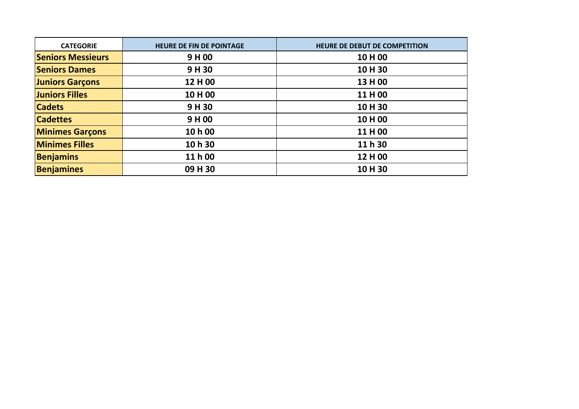| <b>CATEGORIE</b>         | <b>HEURE DE FIN DE POINTAGE</b> | HEURE DE DEBUT DE COMPETITION |
|--------------------------|---------------------------------|-------------------------------|
| <b>Seniors Messieurs</b> | 9H00                            | 10 H 00                       |
| <b>Seniors Dames</b>     | 9H 30                           | 10H 30                        |
| <b>Juniors Garçons</b>   | 12 H 00                         | 13 H 00                       |
| <b>Juniors Filles</b>    | 10 H 00                         | 11 H 00                       |
| <b>Cadets</b>            | 9H30                            | 10H 30                        |
| <b>Cadettes</b>          | 9H00                            | 10H00                         |
| <b>Minimes Garçons</b>   | 10 h 00                         | 11 H 00                       |
| <b>Minimes Filles</b>    | 10 h 30                         | 11 h 30                       |
| <b>Benjamins</b>         | 11 h 00                         | 12 H 00                       |
| <b>Benjamines</b>        | 09 H 30                         | 10H 30                        |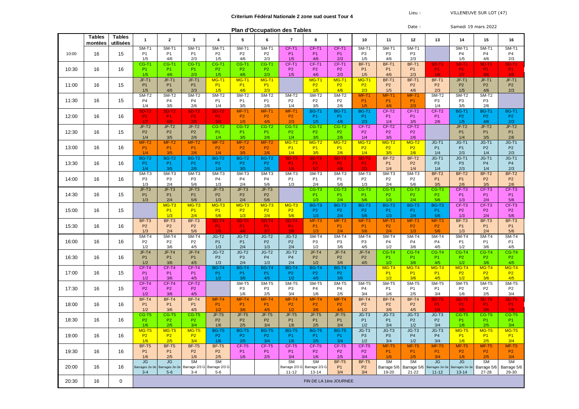|       |                          |                            |                                        | <b>Plan d'Occupation des Tables</b>   |                                            |                                       |                                            |                                            |                                            |                                                   |                                       |                                       | Date:                             |                                       |                                                      | Samedi 19 mars 2022                   |                                       |                                   |
|-------|--------------------------|----------------------------|----------------------------------------|---------------------------------------|--------------------------------------------|---------------------------------------|--------------------------------------------|--------------------------------------------|--------------------------------------------|---------------------------------------------------|---------------------------------------|---------------------------------------|-----------------------------------|---------------------------------------|------------------------------------------------------|---------------------------------------|---------------------------------------|-----------------------------------|
|       | <b>Tables</b><br>montées | <b>Tables</b><br>utilisées | $\mathbf 1$                            | $\overline{2}$                        | 3                                          | $\overline{4}$                        | 5                                          | 6                                          | $\overline{7}$                             | 8                                                 | 9                                     | 10                                    | 11                                | 12                                    | 13                                                   | 14                                    | 15                                    | 16                                |
| 10:00 | 16                       | 15                         | SM-T1<br>P <sub>1</sub><br>1/5         | SM-T1<br>P <sub>1</sub><br>4/6        | SM-T1<br><b>P1</b><br>2/3                  | SM-T1<br>P <sub>2</sub><br>1/5        | $SM-T1$<br>P <sub>2</sub><br>4/6           | $SM-T1$<br>P <sub>2</sub><br>2/3           | $CF-T1$<br><b>P1</b><br>1/5                | $CF-T1$<br>P <sub>1</sub><br>4/6                  | $CF-T1$<br>P <sub>1</sub><br>2/3      | SM-T1<br>P <sub>3</sub><br>1/5        | $SM-T1$<br>P <sub>3</sub><br>4/6  | <b>SM-T1</b><br>P <sub>3</sub><br>2/3 |                                                      | $SM-T1$<br>P <sub>4</sub><br>1/5      | SM-T1<br>P <sub>4</sub><br>4/6        | $SM-T1$<br>P <sub>4</sub><br>2/3  |
| 10:30 | 16                       | 16                         | CG-T1<br>P <sub>1</sub><br>1/5         | CG-T1<br><b>P1</b><br>4/6             | CG-T1<br><b>P1</b><br>2/3                  | CG-T1<br><b>P2</b><br>1/5             | CG-T1<br>P <sub>2</sub><br>4/6             | CG-T1<br>P <sub>2</sub><br>2/3             | CF-T1<br>P <sub>2</sub><br>1/5             | CF-T1<br>P <sub>2</sub><br>4/6                    | CF-T1<br>P <sub>2</sub><br>2/3        | BF-T1<br><b>P1</b><br>1/5             | BF-T1<br>P <sub>1</sub><br>4/6    | BF-T1<br>P <sub>1</sub><br>2/3        | <b>SD-T1</b><br>P <sub>1</sub><br>1/8                | SD-T1<br><b>P1</b><br>2/7             | SD-T1<br>P <sub>1</sub><br>3/6        | <b>SD-T1</b><br><b>P1</b><br>4/5  |
| 11:00 | 16                       | 15                         | JF-T1<br>P <sub>1</sub><br>1/5         | JF-T1<br>P <sub>1</sub><br>4/6        | JF-T1<br>P <sub>1</sub><br>2/3             | MG-T1<br><b>P1</b><br>1/5             | MG-T1<br><b>P1</b><br>4/6                  | MG-T1<br><b>P1</b><br>2/3                  |                                            | MG-T1<br><b>P2</b><br>1/5                         | MG-T1<br><b>P2</b><br>4/6             | MG-T1<br>P <sub>2</sub><br>2/3        | BF-T1<br>P <sub>2</sub><br>1/5    | BF-T1<br>P <sub>2</sub><br>4/6        | BF-T1<br>P <sub>2</sub><br>2/3                       | JF-T1<br>P <sub>2</sub><br>1/5        | JF-T1<br>P <sub>2</sub><br>4/6        | JF-T1<br>P <sub>2</sub><br>2/3    |
| 11:30 | 16                       | 15                         | SM-T2<br>P <sub>4</sub><br>1/4         | SM-T2<br>P <sub>4</sub><br>3/5        | SM-T2<br>P <sub>4</sub><br>2/6             | SM-T2<br>P <sub>1</sub><br>1/4        | SM-T2<br>P <sub>1</sub><br>3/5             | SM-T2<br>P <sub>1</sub><br>2/6             | SM-T2<br>P <sub>2</sub><br>1/4             | SM-T2<br>P <sub>2</sub><br>3/5                    | SM-T2<br>P <sub>2</sub><br>2/6        | MF-T1<br><b>P1</b><br>1/5             | $MF-T'$<br>P <sub>1</sub><br>4/6  | MF-T1<br><b>P1</b><br>2/3             | SM-T2<br>P <sub>3</sub><br>1/4                       | SM-T2<br>P <sub>3</sub><br>3/5        | SM-T2<br>P <sub>3</sub><br>2/6        |                                   |
| 12:00 | 16                       | 16                         | <b>SD-T2</b><br><b>P1</b><br>1/7       | <b>SD-T2</b><br><b>P1</b><br>6/8      | <b>SD-T2</b><br><b>P1</b><br>2/5           | <b>SD-T2</b><br><b>P1</b><br>3/4      | MF-T1<br>P <sub>2</sub><br>1/5             | MF-T1<br>P <sub>2</sub><br>4/6             | MF-T1<br>P <sub>2</sub><br>2/3             | <b>BG-T1</b><br>P <sub>1</sub><br>1/5             | BG-T1<br>P <sub>1</sub><br>4/6        | <b>BG-T1</b><br>P <sub>1</sub><br>2/3 | CF-T2<br>P <sub>1</sub><br>1/4    | CF-T2<br>P <sub>1</sub><br>3/5        | CF-T2<br>P <sub>1</sub><br>2/6                       | <b>BG-T1</b><br>P <sub>2</sub><br>1/5 | <b>BG-T1</b><br>P <sub>2</sub><br>4/6 | BG-T1<br>P <sub>2</sub><br>2/3    |
| 12:30 | 16                       | 15                         | JF-T2<br>P <sub>2</sub><br>1/4         | $JF-T2$<br>P <sub>2</sub><br>3/5      | $JF-T2$<br>P <sub>2</sub><br>2/6           | CG-T <sub>2</sub><br><b>P1</b><br>1/4 | CG-T <sub>2</sub><br>P <sub>1</sub><br>3/5 | CG-T2<br>P <sub>1</sub><br>2/6             | $CG-T2$<br>P <sub>2</sub><br>1/4           | $CG-T2$<br>P <sub>2</sub><br>3/5                  | $CG-T2$<br>P <sub>2</sub><br>2/6      | CF-T2<br>P <sub>2</sub><br>1/4        | CF-T2<br>P <sub>2</sub><br>3/5    | CF-T2<br>P <sub>2</sub><br>2/6        |                                                      | JF-T2<br><b>P1</b><br>1/4             | JF-T2<br>P <sub>1</sub><br>3/5        | JF-T2<br>P <sub>1</sub><br>2/6    |
| 13:00 | 16                       | 16                         | $MF-T2$<br><b>P1</b><br>1/4            | $MF-T2$<br><b>P1</b><br>3/5           | $MF-T2$<br>P <sub>1</sub><br>2/6           | $MF-T2$<br>P <sub>2</sub><br>1/4      | $MF-T2$<br><b>P2</b><br>3/5                | $MF-T2$<br><b>P2</b><br>2/6                | $MG-T2$<br><b>P1</b><br>1/4                | $MG-T2$<br><b>P1</b><br>3/5                       | $MG-T2$<br><b>P1</b><br>2/6           | $MG-T2$<br><b>P2</b><br>1/4           | $MG-T2$<br>P2<br>3/5              | MG-T <sub>2</sub><br><b>P2</b><br>2/6 | $JG-T1$<br>P <sub>1</sub><br>1/4                     | $JG-T1$<br><b>P1</b><br>2/3           | $JG-T1$<br>P <sub>2</sub><br>1/4      | $JG-T1$<br>P <sub>2</sub><br>2/3  |
| 13:30 | 16                       | 16                         | <b>BG-T2</b><br><b>P1</b><br>1/4       | <b>BG-T2</b><br>P <sub>1</sub><br>3/5 | BG-T2<br><b>P1</b><br>2/6                  | <b>BG-T2</b><br>P <sub>2</sub><br>1/4 | <b>BG-T2</b><br>P <sub>2</sub><br>3/5      | BG-T2<br>P <sub>2</sub><br>2/6             | <b>SD-T3</b><br>P <sub>1</sub><br>1/6      | <b>SD-T3</b><br>P <sub>1</sub><br>5/7             | <b>SD-T3</b><br><b>P1</b><br>4/8      | <b>SD-T3</b><br><b>P1</b><br>2/3      | BF-T2<br>P <sub>1</sub><br>1/4    | BF-T2<br>P <sub>2</sub><br>1/4        | $JG-T1$<br>P <sub>3</sub><br>1/4                     | $JG-T1$<br>P <sub>3</sub><br>2/3      | $JG-T1$<br>P <sub>4</sub><br>1/4      | $JG-T1$<br>P <sub>4</sub><br>2/3  |
| 14:00 | 16                       | 16                         | SM-T3<br>P <sub>3</sub><br>1/3         | SM-T3<br>P <sub>3</sub><br>2/4        | SM-T3<br>P <sub>3</sub><br>5/6             | SM-T3<br>P <sub>4</sub><br>1/3        | SM-T3<br>P <sub>4</sub><br>2/4             | SM-T3<br>P <sub>4</sub><br>5/6             | $SM-T3$<br>P <sub>1</sub><br>1/3           | $SM-T3$<br>P <sub>1</sub><br>2/4                  | $SM-T3$<br>P <sub>1</sub><br>5/6      | $SM-T3$<br>P <sub>2</sub><br>1/3      | $SM-T3$<br>P <sub>2</sub><br>2/4  | $SM-T3$<br>P <sub>2</sub><br>5/6      | $BF-T2$<br>P <sub>1</sub><br>3/5                     | BF-T2<br><b>P1</b><br>2/6             | BF-T2<br>P <sub>2</sub><br>3/5        | $BF-T2$<br>P <sub>2</sub><br>2/6  |
| 14:30 | 16                       | 15                         | JF-T3<br>P <sub>1</sub><br>1/3         | JF-T3<br>P <sub>1</sub><br>2/4        | $JF-T3$<br><b>P1</b><br>5/6                | JF-T3<br>P <sub>2</sub><br>1/3        | JF-T3<br>P <sub>2</sub><br>2/4             | JF-T3<br>P <sub>2</sub><br>5/6             |                                            | CG-T <sub>3</sub><br>P <sub>1</sub><br>1/3        | CG-T3<br>P <sub>1</sub><br>2/4        | CG-T3<br><b>P1</b><br>5/6             | CG-T3<br>P <sub>2</sub><br>1/3    | CG-T3<br>P <sub>2</sub><br>2/4        | CG-T3<br>P <sub>2</sub><br>5/6                       | CF-T3<br><b>P1</b><br>1/3             | CF-T3<br>P <sub>1</sub><br>2/4        | CF-T3<br>P <sub>1</sub><br>5/6    |
| 15:00 | 16                       | 15                         |                                        | MG-T3<br>P <sub>1</sub><br>1/3        | MG-T <sub>3</sub><br>P <sub>1</sub><br>2/4 | MG-T3<br><b>P1</b><br>5/6             | MG-T <sub>3</sub><br><b>P2</b><br>1/3      | MG-T <sub>3</sub><br>P <sub>2</sub><br>2/4 | $MG-T3$<br><b>P2</b><br>5/6                | BG-T3<br>P <sub>2</sub><br>1/3                    | BG-T3<br>P <sub>2</sub><br>2/4        | BG-T3<br>P <sub>2</sub><br>5/6        | BG-T3<br>P <sub>1</sub><br>1/3    | BG-T3<br>P <sub>1</sub><br>2/4        | BG-T3<br><b>P1</b><br>5/6                            | CF-T3<br>P <sub>2</sub><br>1/3        | CF-T3<br>P <sub>2</sub><br>2/4        | CF-T3<br>P <sub>2</sub><br>5/6    |
| 15:30 | 16                       | 16                         | BF-T3<br>P <sub>2</sub><br>1/3         | BF-T3<br>P <sub>2</sub><br>2/4        | BF-T3<br>P <sub>2</sub><br>5/6             | <b>SD-T4</b><br><b>P1</b><br>1/5      | <b>SD-T4</b><br><b>P1</b><br>4/6           | <b>SD-T4</b><br><b>P1</b><br>3/7           | SD-T4<br><b>P1</b><br>2/8                  | $MF-T3$<br><b>P1</b><br>1/3                       | MF-T3<br><b>P1</b><br>2/4             | $MF-T3$<br><b>P1</b><br>5/6           | MF-T3<br>P <sub>2</sub><br>2/4    | MF-T3<br>P <sub>2</sub><br>1/3        | $MF-T3$<br>P <sub>2</sub><br>5/6                     | BF-T3<br><b>P1</b><br>1/3             | BF-T3<br><b>P1</b><br>2/4             | $BF-T3$<br><b>P1</b><br>5/6       |
| 16:00 | 16                       | 16                         | SM-T4<br>P <sub>2</sub><br>1/2         | SM-T4<br>P <sub>2</sub><br>3/6        | SM-T4<br>P <sub>2</sub><br>4/5             | $JG-T2$<br>P <sub>1</sub><br>1/3      | $JG-T2$<br><b>P1</b><br>2/4                | JG-T <sub>2</sub><br><b>P2</b><br>1/3      | JG-T <sub>2</sub><br>P <sub>2</sub><br>2/4 | SM-T4<br>P <sub>3</sub><br>1/2                    | SM-T4<br>P <sub>3</sub><br>3/6        | SM-T4<br>P <sub>3</sub><br>4/5        | SM-T4<br>P <sub>4</sub><br>1/2    | SM-T4<br>P <sub>4</sub><br>3/6        | SM-T4<br>P <sub>4</sub><br>4/5                       | SM-T4<br>P <sub>1</sub><br>1/2        | SM-T4<br>P <sub>1</sub><br>3/6        | $SM-T4$<br>P <sub>1</sub><br>4/5  |
| 16:30 | 16                       | 16                         | JF-T4<br>P <sub>1</sub><br>1/2         | JF-T4<br>P <sub>1</sub><br>3/6        | $JF-T4$<br>P <sub>1</sub><br>4/5           | $JG-T2$<br>P <sub>3</sub><br>1/3      | $JG-T2$<br>P <sub>3</sub><br>2/4           | JG-T2<br><b>P4</b><br>1/3                  | JG-T <sub>2</sub><br>P <sub>4</sub><br>2/4 | $JF-T4$<br>P <sub>2</sub><br>1/2                  | $JF-T4$<br>P <sub>2</sub><br>3/6      | $JF-T4$<br>P <sub>2</sub><br>4/5      | CG-T4<br>P <sub>1</sub><br>1/2    | CG-T4<br>P <sub>1</sub><br>3/6        | CG-T4<br>P <sub>1</sub><br>4/5                       | CG-T4<br>P <sub>2</sub><br>1/2        | CG-T4<br>P <sub>2</sub><br>3/6        | $CG-T4$<br>P <sub>2</sub><br>4/5  |
| 17:00 | 16                       | 15                         | CF-T4<br>P <sub>1</sub><br>1/2         | CF-T4<br><b>P1</b><br>3/6             | CF-T4<br>P <sub>1</sub><br>4/5             | <b>BG-T4</b><br>P <sub>1</sub><br>1/2 | <b>BG-T4</b><br>P <sub>1</sub><br>3/6      | BG-T4<br><b>P1</b><br>4/5                  | <b>BG-T4</b><br>P <sub>2</sub><br>1/2      | <b>BG-T4</b><br>P <sub>2</sub><br>4/5             | BG-T4<br>P <sub>2</sub><br>3/6        |                                       | MG-T4<br><b>P1</b><br>1/2         | <b>MG-T4</b><br><b>P1</b><br>3/6      | MG-T4<br><b>P1</b><br>4/5                            | $MG-T4$<br><b>P2</b><br>1/2           | MG-T4<br><b>P2</b><br>3/6             | MG-T4<br><b>P2</b><br>4/5         |
| 17:30 | 16                       | 15                         | CF-T4<br>P <sub>2</sub><br>1/2         | CF-T4<br>P <sub>2</sub><br>3/6        | CF-T2<br>P <sub>2</sub><br>4/5             |                                       | SM-T5<br>P <sub>3</sub><br>1/6             | $SM-T5$<br>P <sub>3</sub><br>2/5           | SM-T5<br>P <sub>3</sub><br>3/4             | SM-T5<br>P <sub>4</sub><br>1/6                    | $SM-T5$<br>P <sub>4</sub><br>2/5      | SM-T5<br>P4<br>3/4                    | SM-T5<br>P <sub>1</sub><br>1/6    | SM-T5<br>P <sub>1</sub><br>2/5        | SM-T5<br><b>P1</b><br>3/4                            | SM-T5<br>P <sub>2</sub><br>1/6        | SM-T5<br>P <sub>2</sub><br>2/5        | SM-T5<br>P <sub>2</sub><br>3/4    |
| 18:00 | 16                       | 16                         | BF-T4<br>P <sub>1</sub><br>1/2         | BF-T4<br><b>P1</b><br>3/6             | $BF-T4$<br><b>P1</b><br>4/5                | $MF-T4$<br><b>P1</b><br>1/2           | $MF-T4$<br>P <sub>1</sub><br>3/6           | MF-T4<br><b>P1</b><br>4/5                  | $MF-T4$<br>P <sub>2</sub><br>1/2           | $MF-T4$<br>P <sub>2</sub><br>3/6                  | $MF-T4$<br>P <sub>2</sub><br>4/5      | BF-T4<br>P <sub>2</sub><br>1/2        | BF-T4<br>P <sub>2</sub><br>3/6    | BF-T4<br>P <sub>2</sub><br>4/5        | SD-T5<br><b>P1</b><br>1/4                            | SD-T5<br><b>P1</b><br>3/5             | SD-T5<br><b>P1</b><br>2/6             | SD-T5<br><b>P1</b><br>7/8         |
| 18:30 | 16                       | 16                         | CG-T5<br>P <sub>2</sub><br>1/6         | CG-T5<br>P <sub>2</sub><br>2/5        | CG-T5<br>P <sub>2</sub><br>3/4             | JF-T5<br>P <sub>2</sub><br>1/6        | JF-T5<br>P <sub>2</sub><br>2/5             | JF-T5<br>P <sub>2</sub><br>3/4             | JF-T5<br>P <sub>1</sub><br>1/6             | JF-T5<br>P <sub>1</sub><br>2/5                    | JF-T5<br>P <sub>1</sub><br>3/4        | $JG-T3$<br>P <sub>1</sub><br>1/2      | $JG-T3$<br>P <sub>1</sub><br>3/4  | $JG-T3$<br>P <sub>2</sub><br>1/2      | JG-T3<br>P <sub>2</sub><br>3/4                       | CG-T5<br>P <sub>1</sub><br>1/6        | CG-T5<br>P <sub>1</sub><br>2/5        | CG-T5<br>P <sub>1</sub><br>3/4    |
| 19:00 | 16                       | 16                         | $MG-T5$<br><b>P2</b><br>1/6            | $MG-T5$<br><b>P2</b><br>2/5           | $MG-T5$<br><b>P2</b><br>3/4                | <b>BG-T5</b><br>P <sub>2</sub><br>1/6 | BG-T5<br>P <sub>2</sub><br>2/5             | BG-T5<br>P <sub>2</sub><br>3/4             | <b>BG-T5</b><br>P <sub>1</sub><br>1/6      | <b>BG-T5</b><br>P <sub>1</sub><br>2/5             | <b>BG-T5</b><br>P <sub>1</sub><br>3/4 | JG-T3<br>P <sub>3</sub><br>1/2        | JG-T3<br>P <sub>3</sub><br>3/4    | JG-T3<br>P <sub>4</sub><br>1/2        | JG-T3<br>P <sub>4</sub><br>3/4                       | <b>MG-T5</b><br><b>P1</b><br>1/6      | $MG-T5$<br><b>P1</b><br>2/5           | $MG-T5$<br><b>P1</b><br>3/4       |
| 19:30 | 16                       | 16                         | <b>BF-T5</b><br>P <sub>1</sub><br>1/6  | BF-T5<br><b>P1</b><br>2/5             | <b>BF-T5</b><br>P <sub>2</sub><br>1/6      | BF-T5<br>P <sub>2</sub><br>2/5        | CF-T5<br>P <sub>1</sub><br>1/6             | CF-T5<br><b>P1</b><br>2/5                  | CF-T5<br><b>P1</b><br>3/4                  | CF-T5<br>P <sub>2</sub><br>1/6                    | CF-T5<br>P <sub>2</sub><br>2/5        | CF-T5<br>P <sub>2</sub><br>3/4        | MF-T5<br><b>P1</b><br>1/6         | MF-T5<br><b>P1</b><br>2/5             | $MF-T5$<br><b>P1</b><br>3/4                          | MF-T5<br>P <sub>2</sub><br>1/6        | $MF-T5$<br><b>P2</b><br>2/5           | $MF-T5$<br>P <sub>2</sub><br>3/4  |
| 20:00 | 16                       | 16                         | <b>JG</b><br>Barrages 2e-3e<br>$3 - 4$ | <b>JG</b><br>Barrages 2e-3e<br>$5-6$  | <b>SM</b><br>Barrage 2/3 G<br>$3 - 4$      | <b>SM</b><br>Barrage 2/3 G<br>$5-6$   |                                            |                                            | <b>SM</b><br>$11 - 12$                     | <b>SM</b><br>Barrage 2/3 G Barrage 2/3 G<br>13-14 | $BF-T5$<br>P <sub>1</sub><br>3/4      | $BF-T5$<br>P <sub>2</sub><br>3/4      | <b>SM</b><br>Barrage 5/6<br>19-20 | <b>SM</b><br>$21 - 22$                | <b>JG</b><br>Barrage 5/6 Barrages 2e-3e<br>$11 - 12$ | JG<br>Barrages 2e-36<br>$13 - 14$     | <b>SM</b><br>Barrage 5/6<br>27-28     | <b>SM</b><br>Barrage 5/6<br>29-30 |
| 20:30 | 16                       | 0                          |                                        |                                       |                                            |                                       |                                            |                                            |                                            | FIN DE LA 1ère JOURNEE                            |                                       |                                       |                                   |                                       |                                                      |                                       |                                       |                                   |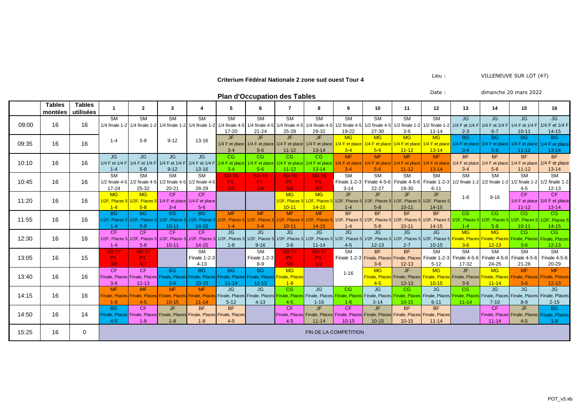#### **Criterium Fédéral Nationale 2 zone sud ouest Tour 4** Lieu : VILLENEUVE SUR LOT (47)

**Plan d'Occupation des Tables** Date : dimanche 20 mars 2022

| <b>Trail a Occupation acs Tables</b> |                          |                            |                             |                               |                                                             |                                              |                                                                            |                                                                                                                         |                |                                                                                           |                        |                                            |                                      |                                                                                           |                                                                         |                               |           |                                                                                                                                                                                                                                |
|--------------------------------------|--------------------------|----------------------------|-----------------------------|-------------------------------|-------------------------------------------------------------|----------------------------------------------|----------------------------------------------------------------------------|-------------------------------------------------------------------------------------------------------------------------|----------------|-------------------------------------------------------------------------------------------|------------------------|--------------------------------------------|--------------------------------------|-------------------------------------------------------------------------------------------|-------------------------------------------------------------------------|-------------------------------|-----------|--------------------------------------------------------------------------------------------------------------------------------------------------------------------------------------------------------------------------------|
|                                      | <b>Tables</b><br>montées | <b>Tables</b><br>utilisées |                             | $\overline{2}$                | 3                                                           |                                              | 5                                                                          | 6                                                                                                                       | $\overline{7}$ | 8                                                                                         | 9                      | 10                                         | 11                                   | 12                                                                                        | 13                                                                      | 14                            | 15        | 16                                                                                                                                                                                                                             |
|                                      |                          |                            | <b>SM</b>                   | <b>SM</b>                     | <b>SM</b>                                                   | <b>SM</b>                                    | <b>SM</b>                                                                  | <b>SM</b>                                                                                                               | <b>SM</b>      | <b>SM</b>                                                                                 | <b>SM</b>              | <b>SM</b>                                  | <b>SM</b>                            | <b>SM</b>                                                                                 | JG                                                                      | JG                            | JG        | JG                                                                                                                                                                                                                             |
| 09:00                                | 16                       | 16                         |                             | 1/4 finale 1-2 1/4 finale 1-2 |                                                             | 1/4 finale 1-2 1/4 finale 1-2 1/4 finale 4-5 |                                                                            | $1/4$ finale 4-5                                                                                                        |                |                                                                                           |                        |                                            |                                      |                                                                                           |                                                                         |                               |           | 1/4 finale 4-5 1/4 finale 4-5 1/2 finale 4-5 1/2 finale 4-5 1/2 finale 1-2 1/2 finale 1-2 1/4 F et 1/4 F et 1/4 F at 1/4 F et 1/4 F at 1/4 F et 1/4 F at 1/4 F et 1/4 F                                                        |
|                                      |                          |                            |                             |                               |                                                             |                                              | 17-20                                                                      | 21-24                                                                                                                   | 25-28          | 29-32                                                                                     | 19-22                  | 27-30                                      | $3-6$                                | $11 - 14$                                                                                 | $2 - 3$                                                                 | $6 - 7$                       | $10 - 11$ | $14 - 15$                                                                                                                                                                                                                      |
| 09:35                                | 16                       | 16                         | $1 - 4$                     | $5 - 8$                       | $9 - 12$                                                    | $13 - 16$                                    | JF.                                                                        | JF.                                                                                                                     | JF.            | JF                                                                                        | <b>MG</b>              | <b>MG</b>                                  | MG                                   | <b>MG</b>                                                                                 | <b>BG</b>                                                               | BG.                           | BG.       | BG                                                                                                                                                                                                                             |
|                                      |                          |                            |                             |                               |                                                             |                                              |                                                                            | 1/4 F et place 1/4 F et place 1/4 F et place 1/4 F et place                                                             |                |                                                                                           |                        |                                            |                                      | 1/4 F et place 1/4 F et place 1/4 F et place 1/4 F et place 1/4 F et place                |                                                                         | 1/4 F et place 1/4 F et place |           | 1/4 F et place                                                                                                                                                                                                                 |
|                                      |                          |                            |                             |                               |                                                             |                                              | $3 - 4$                                                                    | $5-6$                                                                                                                   | $11 - 12$      | $13 - 14$                                                                                 | $3 - 4$                | $5-6$                                      | $11 - 12$                            | $13 - 14$                                                                                 | $3 - 4$                                                                 | $5-6$                         | $11 - 12$ | $13 - 14$                                                                                                                                                                                                                      |
|                                      |                          |                            | JG                          | JG                            | JG                                                          | JG                                           | CG                                                                         | CG                                                                                                                      | CG             | CG                                                                                        | <b>MF</b>              | <b>MF</b>                                  | MF                                   | <b>MF</b>                                                                                 | BF                                                                      | BF                            | BF        | BF                                                                                                                                                                                                                             |
| 10:10                                | 16                       | 16                         |                             |                               |                                                             |                                              |                                                                            |                                                                                                                         |                |                                                                                           |                        |                                            |                                      |                                                                                           |                                                                         |                               |           | 1/4 F et 1/4 F et 1/4 F et 1/4 F et 1/4 F et 1/4 F et 1/4 F et 1/4 F et place 1/4 F et place 1/4 F et place 1/4 F et place 1/4 F et place 1/4 F et place 1/4 F et place 1/4 F et place 1/4 F et place 1/4 F et place 1/4 F et  |
|                                      |                          |                            | $1 - 4$                     | $5 - 8$                       | $9 - 12$                                                    | $13 - 16$                                    | $3 - 4$                                                                    | $5-6$                                                                                                                   | $11 - 12$      | $13 - 14$                                                                                 | $3 - 4$                | $5-6$                                      | $11 - 12$                            | $13 - 14$                                                                                 | $3 - 4$                                                                 | $5-6$                         | $11 - 12$ | $13 - 14$                                                                                                                                                                                                                      |
| 10:45                                | 16                       | 16                         | SM                          | $\overline{\text{SM}}$        | $\overline{\text{SM}}$                                      | $\overline{\text{SM}}$                       | $SD-T6$                                                                    | <b>SD-T6</b>                                                                                                            | $SD-T6$        | <b>SD-T6</b>                                                                              | $\overline{\text{SM}}$ | SM                                         | $\overline{\text{SM}}$               | SM                                                                                        | SM                                                                      | $\overline{\text{SM}}$        | SM        | $\overline{\text{SM}}$                                                                                                                                                                                                         |
|                                      |                          |                            |                             | 1/2 finale 4-5 1/2 finale 4-5 |                                                             | 1/2 finale 4-5 1/2 finale 4-5                | <b>P1</b>                                                                  | <b>P1</b>                                                                                                               | <b>P1</b>      | <b>P1</b>                                                                                 |                        |                                            |                                      |                                                                                           |                                                                         |                               |           | Finale 1-2-3 Finale 4-5-6 Finale 4-5-6 Finale 1-2-3 1/2 finale 1-2 1/2 finale 1-2 1/2 finale 1-2 1/2 finale 1-2                                                                                                                |
|                                      |                          |                            | $17 - 24$                   | 25-32                         | $20 - 21$                                                   | 28-29                                        | 1/3                                                                        | 2/4                                                                                                                     | 5/8            | 6/7                                                                                       | $3 - 14$               | 22-27                                      | 19-30                                | $6 - 11$                                                                                  |                                                                         |                               | $4 - 5$   | $12 - 13$                                                                                                                                                                                                                      |
| 11:20                                | 16                       | 16                         | <b>MG</b>                   | <b>MG</b>                     | CF.                                                         | CF.                                          |                                                                            |                                                                                                                         | <b>MG</b>      | MG                                                                                        | JF.                    | JF.                                        | JF.                                  | JF.                                                                                       | $1 - 8$                                                                 |                               | CF.       | CF.                                                                                                                                                                                                                            |
|                                      |                          |                            | 1/2F, Places 5 1/2F, Places |                               |                                                             | 1/4 F et place 1/4 F et place                |                                                                            |                                                                                                                         |                | 1/2F, Places 5 1/2F, Places 5 1/2F, Places 5 1/2F, Places 5 1/2F, Places 5 1/2F, Places 5 |                        |                                            |                                      |                                                                                           |                                                                         | $9 - 16$                      |           | 1/4 F et place 1/4 F et place                                                                                                                                                                                                  |
|                                      |                          |                            | $1 - 4$                     | $5 - 8$                       | $3 - 4$                                                     | $5-6$                                        |                                                                            |                                                                                                                         | $10 - 11$      | $14 - 15$                                                                                 | $1 - 4$                | $5 - 8$                                    | $10 - 11$                            | $14 - 15$                                                                                 |                                                                         |                               | $11 - 12$ | $13 - 14$                                                                                                                                                                                                                      |
|                                      |                          |                            | BG.                         | BG                            | BG                                                          | BG                                           | <b>MF</b>                                                                  | <b>MF</b>                                                                                                               | <b>MF</b>      | MF                                                                                        | BF                     | BF                                         | RF                                   | BF                                                                                        | CG                                                                      | CG                            | CG.       | CG.                                                                                                                                                                                                                            |
| 11:55                                | 16                       | 16                         | /2F. Places 5               | 1/2F. Places 5                |                                                             | 1/2F. Places 5 1/2F. Places 5                |                                                                            | 1/2F, Places 5 1/2F, Places 5 1/2F, Places 5 1/2F, Places 5 1/2F, Places 5 1/2F, Places 5 1/2F, Places 5 1/2F, Places 5 |                |                                                                                           |                        |                                            |                                      |                                                                                           |                                                                         |                               |           | 1/2F, Places 5 1/2F, Places 5 1/2F, Places 5 1/2F, Places 5                                                                                                                                                                    |
|                                      |                          |                            | $1 - 4$                     | $5-8$                         | $10 - 11$                                                   | $14 - 15$                                    | $1 - 4$                                                                    | $5 - 8$                                                                                                                 | $10 - 11$      | $14 - 15$                                                                                 | $1 - 4$                | $5-8$                                      | $10 - 11$                            | $14 - 15$                                                                                 | $1 - 4$                                                                 | $5-8$                         | $10 - 11$ | $14 - 15$                                                                                                                                                                                                                      |
| 12:30                                | 16                       | 16                         | CF.                         | CF.                           | CF.                                                         | CF.                                          | JG                                                                         | JG                                                                                                                      | JG             | JG.                                                                                       | JG.                    | JG                                         | JG.                                  | JG                                                                                        | MG                                                                      | MG                            | CG        | CG                                                                                                                                                                                                                             |
|                                      |                          |                            |                             |                               |                                                             |                                              |                                                                            |                                                                                                                         |                |                                                                                           |                        |                                            |                                      |                                                                                           |                                                                         |                               |           | 1/2F, Places 5 1/2F, Places 5 1/2F, Places 5 1/2F, Places 5 1/2F, Places 5 1/2F, Places 5 1/2F, Places 5 1/2F, Places 5 1/2F, Places 5 1/2F, Places 5 1/2F, Places 5 1/2F, Places 5 1/2F, Places 5 1/2F, Places 5 1/2F, Places |
|                                      |                          |                            | $1 - 4$                     | $5 - 8$                       | $10 - 11$                                                   | $14 - 15$                                    | $1 - 8$                                                                    | $9 - 16$                                                                                                                | $3-6$          | $11 - 14$                                                                                 | $4 - 5$                | $12 - 13$                                  | $2 - 7$                              | $10 - 15$                                                                                 | $3 - 6$                                                                 | $12 - 13$                     | $3-6$     | $12 - 13$                                                                                                                                                                                                                      |
| 13:05                                | 16                       | 15                         | <b>SD-T7</b>                | <b>SD-T7</b>                  |                                                             | $\overline{\text{SM}}$                       |                                                                            | $\overline{\text{SM}}$                                                                                                  | <b>SD-T7</b>   | <b>SD-T7</b>                                                                              | <b>SM</b>              | BF                                         | RF                                   | SM                                                                                        | $\overline{\text{SM}}$                                                  | <b>SM</b>                     | <b>SM</b> | SM                                                                                                                                                                                                                             |
|                                      |                          |                            | P1                          | <b>P1</b>                     |                                                             | Finale $1-2-3$                               |                                                                            | Finale $1-2-3$                                                                                                          | <b>P1</b>      | <b>P1</b>                                                                                 |                        | Finale 1-2-3 Finale, Places Finale, Places |                                      |                                                                                           | Finale 1-2-3 Finale 4-5-6 Finale 4-5-6 Finale 4-5-6                     |                               |           | Finale 4-5-6                                                                                                                                                                                                                   |
|                                      |                          |                            | 3/8                         | 4/7                           |                                                             | $4 - 13$                                     |                                                                            | $8-9$                                                                                                                   | 5/6            | 1/2                                                                                       |                        | $3-6$                                      | $12 - 13$                            | $5 - 12$                                                                                  | 17-32                                                                   | 24-25                         | 21-28     | 20-29                                                                                                                                                                                                                          |
| 13:40                                | 16                       | 16                         | CF                          | CF                            | RG                                                          | RG                                           | BG                                                                         | RG                                                                                                                      | <b>MG</b>      |                                                                                           |                        | MG<br>$1 - 16$                             | JF.                                  | MG                                                                                        | JF.                                                                     | MG                            | MF        | MF                                                                                                                                                                                                                             |
|                                      |                          |                            |                             | Finale, Places Finale, Places |                                                             |                                              | Finale, Places Finale, Places Finale, Places Finale, Places Finale, Places |                                                                                                                         |                |                                                                                           |                        |                                            | <b>Finale, Places</b> Finale, Places |                                                                                           | Finale, Places Finale, Places <mark>Finale, Places</mark> Finale, Place |                               |           | <b>Finale, Places</b>                                                                                                                                                                                                          |
|                                      |                          |                            | $3-6$                       | $12 - 13$                     | $3-6$                                                       | $10 - 15$                                    | $11 - 14$                                                                  | $12 - 13$                                                                                                               | $1 - 8$        |                                                                                           |                        | $4 - 5$                                    | $12 - 13$                            | $10 - 15$                                                                                 | $3-6$                                                                   | $11 - 14$                     | $3-6$     | $12 - 13$                                                                                                                                                                                                                      |
|                                      |                          |                            | <b>MF</b>                   | <b>MF</b>                     | <b>MF</b>                                                   | <b>MF</b>                                    | JG                                                                         | JG                                                                                                                      | CG             | JG                                                                                        | CG                     | JG                                         | CG                                   | JG                                                                                        | CG.                                                                     | JG                            | JG        | JG                                                                                                                                                                                                                             |
| 14:15                                | 16                       | 16                         | <b>Finale, Places</b>       | Finale, Place                 | <b>Finale, Place</b>                                        | <b>Finale, Place</b>                         |                                                                            |                                                                                                                         |                |                                                                                           |                        |                                            |                                      |                                                                                           |                                                                         |                               |           | Finale, Places Finale, Places Finale, Places Finale, Places Finale, Places Finale, Places Finale, Places Finale, Places Finale, Places Finale, Places Finale, Places Finale, Places Finale, Places Finale, Places              |
|                                      |                          |                            | $1 - 8$                     | $4-5$                         | $10 - 15$                                                   | $11 - 14$                                    | $5 - 12$                                                                   | $4 - 13$                                                                                                                | $4-5$          | $1 - 16$                                                                                  | $1 - 8$                | $3 - 14$                                   | $10 - 15$                            | $6 - 11$                                                                                  | $11 - 14$                                                               | $7 - 10$                      | $8 - 9$   | $2 - 15$                                                                                                                                                                                                                       |
| 14:50                                | 16                       | 14                         | BG.                         | CF.                           | JF.                                                         | <b>BF</b>                                    | BF                                                                         |                                                                                                                         | CF.            | JF.                                                                                       | CF                     | JF.                                        | RF                                   | BF                                                                                        |                                                                         | CF                            | JF.       | BG.                                                                                                                                                                                                                            |
|                                      |                          |                            | <b>Finale, Place</b>        |                               | Finale, Places Finale, Places Finale, Places Finale, Places |                                              |                                                                            |                                                                                                                         |                |                                                                                           |                        |                                            |                                      | Finale, Places Finale, Places Finale, Places Finale, Places Finale, Places Finale, Places |                                                                         |                               |           | Finale, Places Finale, Places Finale, Places                                                                                                                                                                                   |
|                                      |                          |                            | $4 - 5$                     | $1 - 8$                       | $1 - 8$                                                     | $1 - 8$                                      | $4-5$                                                                      |                                                                                                                         | $4-5$          | $11 - 14$                                                                                 | $10 - 15$              | $10 - 15$                                  | $10 - 15$                            | $11 - 14$                                                                                 |                                                                         | $11 - 14$                     | $4 - 5$   | $1 - 8$                                                                                                                                                                                                                        |
| 15:25                                | 16                       | 0                          |                             |                               |                                                             |                                              |                                                                            |                                                                                                                         |                |                                                                                           | FIN DE LA COMPETITION  |                                            |                                      |                                                                                           |                                                                         |                               |           |                                                                                                                                                                                                                                |
|                                      |                          |                            |                             |                               |                                                             |                                              |                                                                            |                                                                                                                         |                |                                                                                           |                        |                                            |                                      |                                                                                           |                                                                         |                               |           |                                                                                                                                                                                                                                |